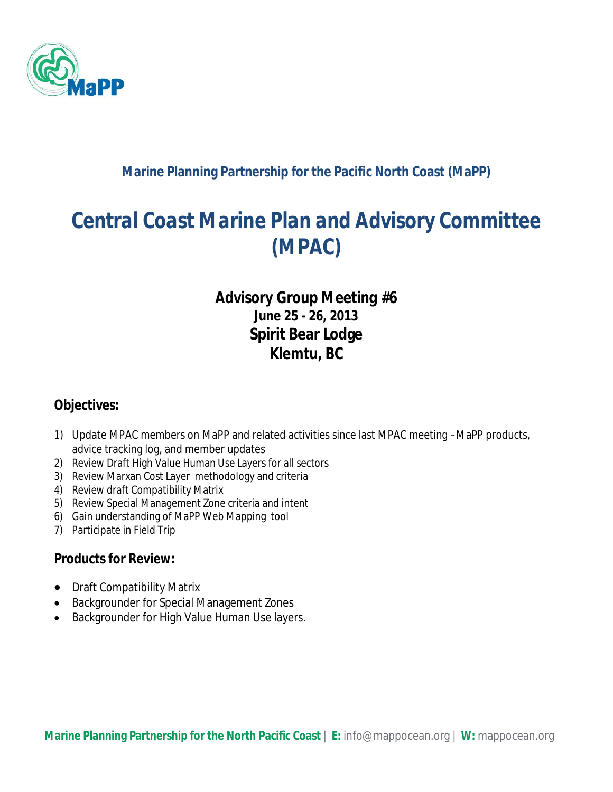

#### **Marine Planning Partnership for the Pacific North Coast (MaPP)**

# *Central Coast Marine Plan and Advisory Committee (MPAC)*

### *Advisory Group Meeting #6* **June 25 - 26, 2013 Spirit Bear Lodge Klemtu, BC**

#### **Objectives:**

- 1) Update MPAC members on MaPP and related activities since last MPAC meeting –MaPP products, advice tracking log, and member updates
- 2) Review Draft High Value Human Use Layers for all sectors
- 3) Review Marxan Cost Layer methodology and criteria
- 4) Review draft Compatibility Matrix
- 5) Review Special Management Zone criteria and intent
- 6) Gain understanding of MaPP Web Mapping tool
- 7) Participate in Field Trip

#### **Products for Review:**

- Draft Compatibility Matrix
- Backgrounder for Special Management Zones
- Backgrounder for High Value Human Use layers.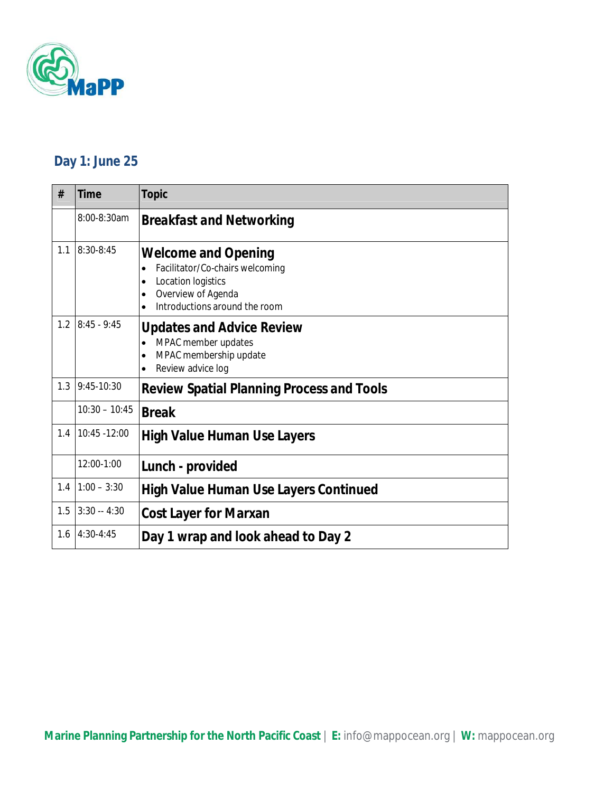

# **Day 1: June 25**

| #   | Time            | Topic                                                                                                                                      |
|-----|-----------------|--------------------------------------------------------------------------------------------------------------------------------------------|
|     | 8:00-8:30am     | <b>Breakfast and Networking</b>                                                                                                            |
| 1.1 | 8:30-8:45       | <b>Welcome and Opening</b><br>Facilitator/Co-chairs welcoming<br>Location logistics<br>Overview of Agenda<br>Introductions around the room |
| 1.2 | $8:45 - 9:45$   | <b>Updates and Advice Review</b><br>MPAC member updates<br>MPAC membership update<br>Review advice log                                     |
| 1.3 | $9:45-10:30$    | <b>Review Spatial Planning Process and Tools</b>                                                                                           |
|     | $10:30 - 10:45$ | <b>Break</b>                                                                                                                               |
| 1.4 | 10:45 - 12:00   | <b>High Value Human Use Layers</b>                                                                                                         |
|     | 12:00-1:00      | Lunch - provided                                                                                                                           |
| 1.4 | $1:00 - 3:30$   | <b>High Value Human Use Layers Continued</b>                                                                                               |
| 1.5 | $3:30 - 4:30$   | <b>Cost Layer for Marxan</b>                                                                                                               |
| 1.6 | $4:30-4:45$     | Day 1 wrap and look ahead to Day 2                                                                                                         |